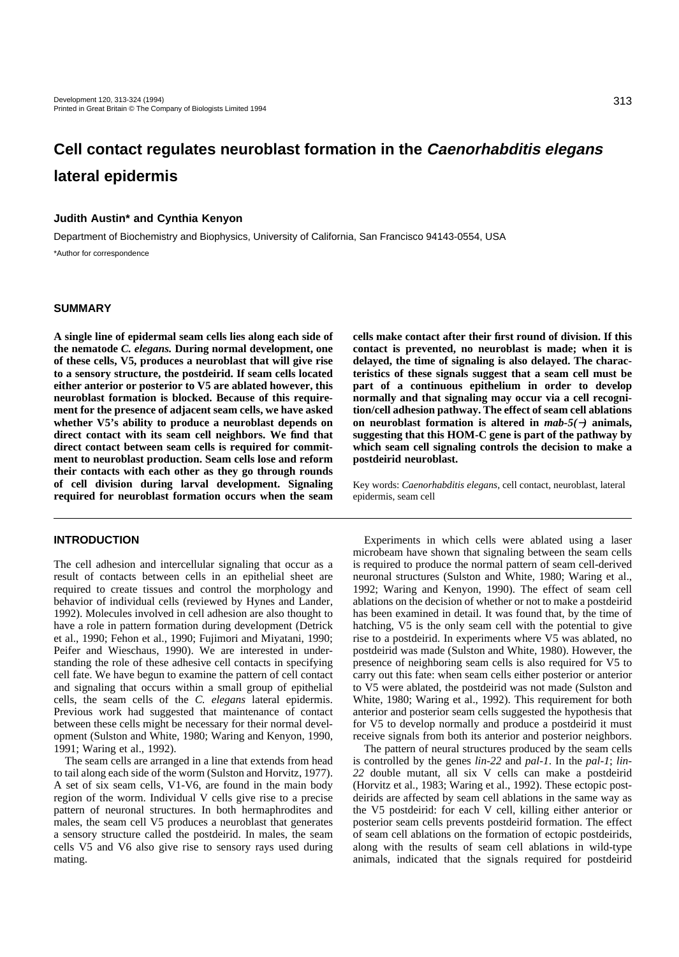# **Cell contact regulates neuroblast formation in the Caenorhabditis elegans lateral epidermis**

# **Judith Austin\* and Cynthia Kenyon**

Department of Biochemistry and Biophysics, University of California, San Francisco 94143-0554, USA

\*Author for correspondence

### **SUMMARY**

**A single line of epidermal seam cells lies along each side of the nematode** *C. elegans.* **During normal development, one of these cells, V5, produces a neuroblast that will give rise to a sensory structure, the postdeirid. If seam cells located either anterior or posterior to V5 are ablated however, this neuroblast formation is blocked. Because of this requirement for the presence of adjacent seam cells, we have asked whether V5's ability to produce a neuroblast depends on direct contact with its seam cell neighbors. We find that direct contact between seam cells is required for commitment to neuroblast production. Seam cells lose and reform their contacts with each other as they go through rounds of cell division during larval development. Signaling required for neuroblast formation occurs when the seam**

# **INTRODUCTION**

The cell adhesion and intercellular signaling that occur as a result of contacts between cells in an epithelial sheet are required to create tissues and control the morphology and behavior of individual cells (reviewed by Hynes and Lander, 1992). Molecules involved in cell adhesion are also thought to have a role in pattern formation during development (Detrick et al., 1990; Fehon et al., 1990; Fujimori and Miyatani, 1990; Peifer and Wieschaus, 1990). We are interested in understanding the role of these adhesive cell contacts in specifying cell fate. We have begun to examine the pattern of cell contact and signaling that occurs within a small group of epithelial cells, the seam cells of the *C. elegans* lateral epidermis. Previous work had suggested that maintenance of contact between these cells might be necessary for their normal development (Sulston and White, 1980; Waring and Kenyon, 1990, 1991; Waring et al., 1992).

The seam cells are arranged in a line that extends from head to tail along each side of the worm (Sulston and Horvitz, 1977). A set of six seam cells, V1-V6, are found in the main body region of the worm. Individual V cells give rise to a precise pattern of neuronal structures. In both hermaphrodites and males, the seam cell V5 produces a neuroblast that generates a sensory structure called the postdeirid. In males, the seam cells V5 and V6 also give rise to sensory rays used during mating.

**cells make contact after their first round of division. If this contact is prevented, no neuroblast is made; when it is delayed, the time of signaling is also delayed. The characteristics of these signals suggest that a seam cell must be part of a continuous epithelium in order to develop normally and that signaling may occur via a cell recognition/cell adhesion pathway. The effect of seam cell ablations on neuroblast formation is altered in** *mab-5(*−*)* **animals, suggesting that this HOM-C gene is part of the pathway by which seam cell signaling controls the decision to make a postdeirid neuroblast.**

Key words: *Caenorhabditis elegans*, cell contact, neuroblast, lateral epidermis, seam cell

Experiments in which cells were ablated using a laser microbeam have shown that signaling between the seam cells is required to produce the normal pattern of seam cell-derived neuronal structures (Sulston and White, 1980; Waring et al., 1992; Waring and Kenyon, 1990). The effect of seam cell ablations on the decision of whether or not to make a postdeirid has been examined in detail. It was found that, by the time of hatching, V5 is the only seam cell with the potential to give rise to a postdeirid. In experiments where V5 was ablated, no postdeirid was made (Sulston and White, 1980). However, the presence of neighboring seam cells is also required for V5 to carry out this fate: when seam cells either posterior or anterior to V5 were ablated, the postdeirid was not made (Sulston and White, 1980; Waring et al., 1992). This requirement for both anterior and posterior seam cells suggested the hypothesis that for V5 to develop normally and produce a postdeirid it must receive signals from both its anterior and posterior neighbors.

The pattern of neural structures produced by the seam cells is controlled by the genes *lin-22* and *pal-1*. In the *pal-1*; *lin-22* double mutant, all six V cells can make a postdeirid (Horvitz et al., 1983; Waring et al., 1992). These ectopic postdeirids are affected by seam cell ablations in the same way as the V5 postdeirid: for each V cell, killing either anterior or posterior seam cells prevents postdeirid formation. The effect of seam cell ablations on the formation of ectopic postdeirids, along with the results of seam cell ablations in wild-type animals, indicated that the signals required for postdeirid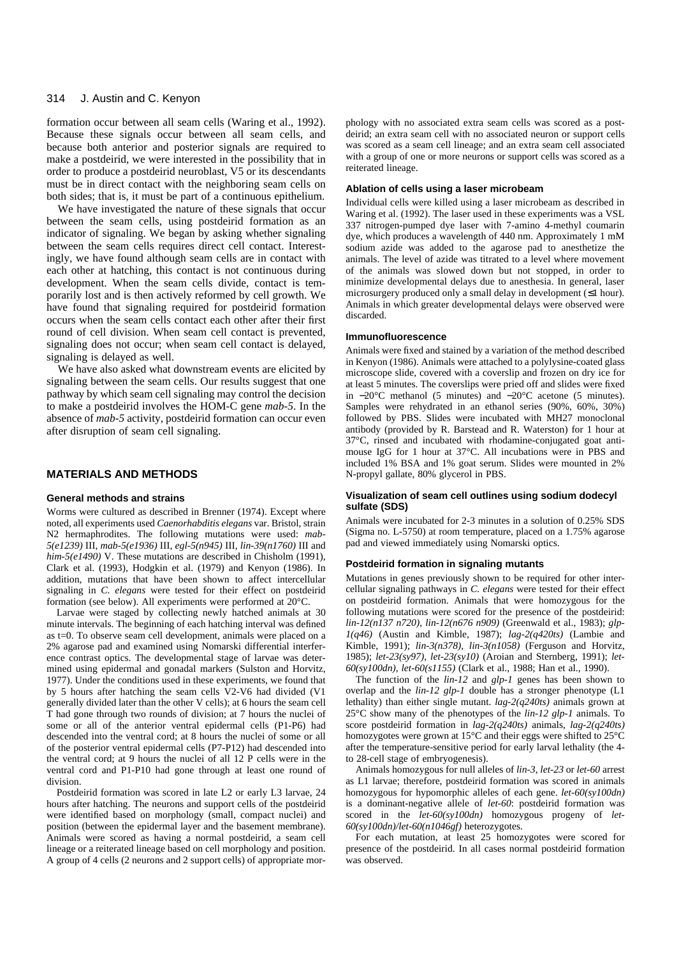#### 314 J. Austin and C. Kenyon

formation occur between all seam cells (Waring et al., 1992). Because these signals occur between all seam cells, and because both anterior and posterior signals are required to make a postdeirid, we were interested in the possibility that in order to produce a postdeirid neuroblast, V5 or its descendants must be in direct contact with the neighboring seam cells on both sides; that is, it must be part of a continuous epithelium.

We have investigated the nature of these signals that occur between the seam cells, using postdeirid formation as an indicator of signaling. We began by asking whether signaling between the seam cells requires direct cell contact. Interestingly, we have found although seam cells are in contact with each other at hatching, this contact is not continuous during development. When the seam cells divide, contact is temporarily lost and is then actively reformed by cell growth. We have found that signaling required for postdeirid formation occurs when the seam cells contact each other after their first round of cell division. When seam cell contact is prevented, signaling does not occur; when seam cell contact is delayed, signaling is delayed as well.

We have also asked what downstream events are elicited by signaling between the seam cells. Our results suggest that one pathway by which seam cell signaling may control the decision to make a postdeirid involves the HOM-C gene *mab-5*. In the absence of *mab-5* activity, postdeirid formation can occur even after disruption of seam cell signaling.

## **MATERIALS AND METHODS**

### **General methods and strains**

Worms were cultured as described in Brenner (1974). Except where noted, all experiments used *Caenorhabditis elegans* var. Bristol, strain N2 hermaphrodites. The following mutations were used: *mab-5(e1239)* III, *mab-5(e1936)* III, *egl-5(n945)* III, *lin-39(n1760)* III and *him-5(e1490)* V. These mutations are described in Chisholm (1991), Clark et al. (1993), Hodgkin et al. (1979) and Kenyon (1986). In addition, mutations that have been shown to affect intercellular signaling in *C. elegans* were tested for their effect on postdeirid formation (see below). All experiments were performed at 20°C.

Larvae were staged by collecting newly hatched animals at 30 minute intervals. The beginning of each hatching interval was defined as t=0. To observe seam cell development, animals were placed on a 2% agarose pad and examined using Nomarski differential interference contrast optics. The developmental stage of larvae was determined using epidermal and gonadal markers (Sulston and Horvitz, 1977). Under the conditions used in these experiments, we found that by 5 hours after hatching the seam cells V2-V6 had divided (V1 generally divided later than the other V cells); at 6 hours the seam cell T had gone through two rounds of division; at 7 hours the nuclei of some or all of the anterior ventral epidermal cells (P1-P6) had descended into the ventral cord; at 8 hours the nuclei of some or all of the posterior ventral epidermal cells (P7-P12) had descended into the ventral cord; at 9 hours the nuclei of all 12 P cells were in the ventral cord and P1-P10 had gone through at least one round of division.

Postdeirid formation was scored in late L2 or early L3 larvae, 24 hours after hatching. The neurons and support cells of the postdeirid were identified based on morphology (small, compact nuclei) and position (between the epidermal layer and the basement membrane). Animals were scored as having a normal postdeirid, a seam cell lineage or a reiterated lineage based on cell morphology and position. A group of 4 cells (2 neurons and 2 support cells) of appropriate morphology with no associated extra seam cells was scored as a post deirid; an extra seam cell with no associated neuron or support cells was scored as a seam cell lineage; and an extra seam cell associated with a group of one or more neurons or support cells was scored as a reiterated lineage.

### **Ablation of cells using a laser microbeam**

Individual cells were killed using a laser microbeam as described in Waring et al. (1992). The laser used in these experiments was a VSL 337 nitrogen-pumped dye laser with 7-amino 4-methyl coumarin dye, which produces a wavelength of 440 nm. Approximately 1 mM sodium azide was added to the agarose pad to anesthetize the animals. The level of azide was titrated to a level where movement of the animals was slowed down but not stopped, in order to minimize developmental delays due to anesthesia. In general, laser microsurgery produced only a small delay in development (≤1 hour). Animals in which greater developmental delays were observed were discarded.

### **Immunofluorescence**

Animals were fixed and stained by a variation of the method described in Kenyon (1986). Animals were attached to a polylysine-coated glass microscope slide, covered with a coverslip and frozen on dry ice for at least 5 minutes. The coverslips were pried off and slides were fixed in <sup>−</sup>20°C methanol (5 minutes) and <sup>−</sup>20°C acetone (5 minutes). Samples were rehydrated in an ethanol series (90%, 60%, 30%) followed by PBS. Slides were incubated with MH27 monoclonal antibody (provided by R. Barstead and R. Waterston) for 1 hour at 37°C, rinsed and incubated with rhodamine-conjugated goat antimouse IgG for 1 hour at 37°C. All incubations were in PBS and included 1% BSA and 1% goat serum. Slides were mounted in 2% N-propyl gallate, 80% glycerol in PBS.

### **Visualization of seam cell outlines using sodium dodecyl sulfate (SDS)**

Animals were incubated for 2-3 minutes in a solution of 0.25% SDS (Sigma no. L-5750) at room temperature, placed on a 1.75% agarose pad and viewed immediately using Nomarski optics.

### **Postdeirid formation in signaling mutants**

Mutations in genes previously shown to be required for other intercellular signaling pathways in *C. elegans* were tested for their effect on postdeirid formation. Animals that were homozygous for the following mutations were scored for the presence of the postdeirid: *lin-12(n137 n720)*, *lin-12(n676 n909)* (Greenwald et al., 1983); *glp-1(q46)* (Austin and Kimble, 1987); *lag-2(q420ts)* (Lambie and Kimble, 1991); *lin-3(n378)*, *lin-3(n1058)* (Ferguson and Horvitz, 1985); *let-23(sy97)*, *let-23(sy10)* (Aroian and Sternberg, 1991); *let-60(sy100dn)*, *let-60(s1155)* (Clark et al., 1988; Han et al., 1990).

The function of the *lin-12* and *glp-1* genes has been shown to overlap and the *lin-12 glp-1* double has a stronger phenotype (L1 lethality) than either single mutant. *lag-2(q240ts)* animals grown at 25°C show many of the phenotypes of the *lin-12 glp-1* animals. To score postdeirid formation in *lag-2(q240ts)* animals, *lag-2(q240ts)* homozygotes were grown at 15°C and their eggs were shifted to 25°C after the temperature-sensitive period for early larval lethality (the 4 to 28-cell stage of embryogenesis).

Animals homozygous for null alleles of *lin-3*, *let-23* or *let-60* arrest as L1 larvae; therefore, postdeirid formation was scored in animals homozygous for hypomorphic alleles of each gene. *let-60(sy100dn)* is a dominant-negative allele of *let-60*: postdeirid formation was scored in the *let-60(sy100dn)* homozygous progeny of *let-60(sy100dn)/let-60(n1046gf)* heterozygotes.

For each mutation, at least 25 homozygotes were scored for presence of the postdeirid. In all cases normal postdeirid formation was observed.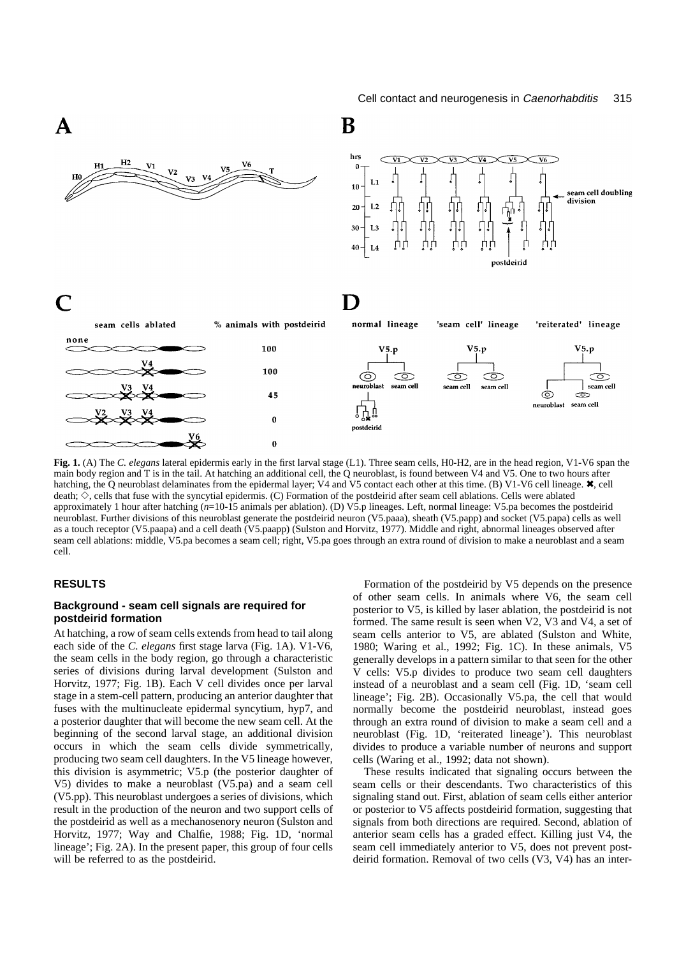

**Fig. 1.** (A) The *C. elegans* lateral epidermis early in the first larval stage (L1). Three seam cells, H0-H2, are in the head region, V1-V6 span the main body region and T is in the tail. At hatching an additional cell, the Q neuroblast, is found between V4 and V5. One to two hours after hatching, the Q neuroblast delaminates from the epidermal layer; V4 and V5 contact each other at this time. (B) V1-V6 cell lineage. **X**, cell death;  $\diamondsuit$ , cells that fuse with the syncytial epidermis. (C) Formation of the postdeirid after seam cell ablations. Cells were ablated approximately 1 hour after hatching (*n*=10-15 animals per ablation). (D) V5.p lineages. Left, normal lineage: V5.pa becomes the postdeirid neuroblast. Further divisions of this neuroblast generate the postdeirid neuron (V5.paaa), sheath (V5.papp) and socket (V5.papa) cells as well as a touch receptor (V5.paapa) and a cell death (V5.paapp) (Sulston and Horvitz, 1977). Middle and right, abnormal lineages observed after seam cell ablations: middle, V5.pa becomes a seam cell; right, V5.pa goes through an extra round of division to make a neuroblast and a seam cell.

# **RESULTS**

# **Background - seam cell signals are required for postdeirid formation**

At hatching, a row of seam cells extends from head to tail along each side of the *C. elegans* first stage larva (Fig. 1A). V1-V6, the seam cells in the body region, go through a characteristic series of divisions during larval development (Sulston and Horvitz, 1977; Fig. 1B). Each V cell divides once per larval stage in a stem-cell pattern, producing an anterior daughter that fuses with the multinucleate epidermal syncytium, hyp7, and a posterior daughter that will become the new seam cell. At the beginning of the second larval stage, an additional division occurs in which the seam cells divide symmetrically, producing two seam cell daughters. In the V5 lineage however, this division is asymmetric; V5.p (the posterior daughter of V5) divides to make a neuroblast (V5.pa) and a seam cell (V5.pp). This neuroblast undergoes a series of divisions, which result in the production of the neuron and two support cells of the postdeirid as well as a mechanosenory neuron (Sulston and Horvitz, 1977; Way and Chalfie, 1988; Fig. 1D, 'normal lineage'; Fig. 2A). In the present paper, this group of four cells will be referred to as the postdeirid.

Formation of the postdeirid by V5 depends on the presence of other seam cells. In animals where V6, the seam cell posterior to V5, is killed by laser ablation, the postdeirid is not formed. The same result is seen when V2, V3 and V4, a set of seam cells anterior to V5, are ablated (Sulston and White, 1980; Waring et al., 1992; Fig. 1C). In these animals, V5 generally develops in a pattern similar to that seen for the other V cells: V5.p divides to produce two seam cell daughters instead of a neuroblast and a seam cell (Fig. 1D, 'seam cell lineage'; Fig. 2B). Occasionally V5.pa, the cell that would normally become the postdeirid neuroblast, instead goes through an extra round of division to make a seam cell and a neuroblast (Fig. 1D, 'reiterated lineage'). This neuroblast divides to produce a variable number of neurons and support cells (Waring et al., 1992; data not shown).

These results indicated that signaling occurs between the seam cells or their descendants. Two characteristics of this signaling stand out. First, ablation of seam cells either anterior or posterior to V5 affects postdeirid formation, suggesting that signals from both directions are required. Second, ablation of anterior seam cells has a graded effect. Killing just V4, the seam cell immediately anterior to V5, does not prevent postdeirid formation. Removal of two cells (V3, V4) has an inter-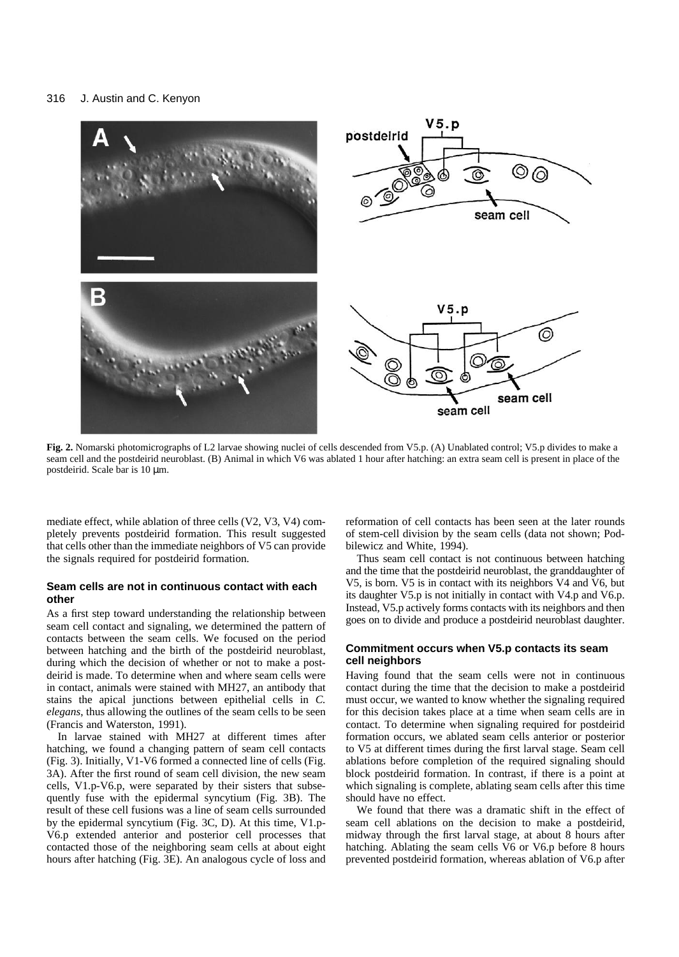#### 316 J. Austin and C. Kenyon



**Fig. 2.** Nomarski photomicrographs of L2 larvae showing nuclei of cells descended from V5.p. (A) Unablated control; V5.p divides to make a seam cell and the postdeirid neuroblast. (B) Animal in which V6 was ablated 1 hour after hatching: an extra seam cell is present in place of the postdeirid. Scale bar is 10 µm.

mediate effect, while ablation of three cells (V2, V3, V4) completely prevents postdeirid formation. This result suggested that cells other than the immediate neighbors of V5 can provide the signals required for postdeirid formation.

# **Seam cells are not in continuous contact with each other**

As a first step toward understanding the relationship between seam cell contact and signaling, we determined the pattern of contacts between the seam cells. We focused on the period between hatching and the birth of the postdeirid neuroblast, during which the decision of whether or not to make a postdeirid is made. To determine when and where seam cells were in contact, animals were stained with MH27, an antibody that stains the apical junctions between epithelial cells in *C. elegans*, thus allowing the outlines of the seam cells to be seen (Francis and Waterston, 1991).

In larvae stained with MH27 at different times after hatching, we found a changing pattern of seam cell contacts (Fig. 3). Initially, V1-V6 formed a connected line of cells (Fig. 3A). After the first round of seam cell division, the new seam cells, V1.p-V6.p, were separated by their sisters that subsequently fuse with the epidermal syncytium (Fig. 3B). The result of these cell fusions was a line of seam cells surrounded by the epidermal syncytium (Fig. 3C, D). At this time, V1.p-V6.p extended anterior and posterior cell processes that contacted those of the neighboring seam cells at about eight hours after hatching (Fig. 3E). An analogous cycle of loss and reformation of cell contacts has been seen at the later rounds of stem-cell division by the seam cells (data not shown; Podbilewicz and White, 1994).

Thus seam cell contact is not continuous between hatching and the time that the postdeirid neuroblast, the granddaughter of V5, is born. V5 is in contact with its neighbors V4 and V6, but its daughter V5.p is not initially in contact with V4.p and V6.p. Instead, V5.p actively forms contacts with its neighbors and then goes on to divide and produce a postdeirid neuroblast daughter.

# **Commitment occurs when V5.p contacts its seam cell neighbors**

Having found that the seam cells were not in continuous contact during the time that the decision to make a postdeirid must occur, we wanted to know whether the signaling required for this decision takes place at a time when seam cells are in contact. To determine when signaling required for postdeirid formation occurs, we ablated seam cells anterior or posterior to V5 at different times during the first larval stage. Seam cell ablations before completion of the required signaling should block postdeirid formation. In contrast, if there is a point at which signaling is complete, ablating seam cells after this time should have no effect.

We found that there was a dramatic shift in the effect of seam cell ablations on the decision to make a postdeirid, midway through the first larval stage, at about 8 hours after hatching. Ablating the seam cells V6 or V6.p before 8 hours prevented postdeirid formation, whereas ablation of V6.p after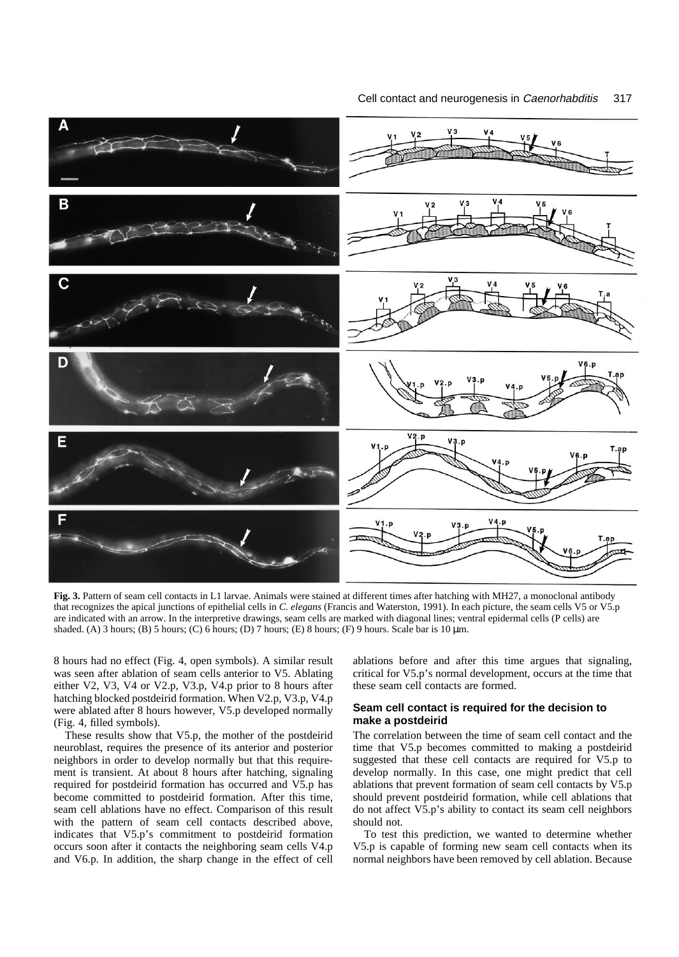

**Fig. 3.** Pattern of seam cell contacts in L1 larvae. Animals were stained at different times after hatching with MH27, a monoclonal antibody that recognizes the apical junctions of epithelial cells in *C. elegans* (Francis and Waterston, 1991). In each picture, the seam cells V5 or V5.p are indicated with an arrow. In the interpretive drawings, seam cells are marked with diagonal lines; ventral epidermal cells (P cells) are shaded. (A) 3 hours; (B) 5 hours; (C) 6 hours; (D) 7 hours; (E) 8 hours; (F) 9 hours. Scale bar is 10  $\mu$ m.

8 hours had no effect (Fig. 4, open symbols). A similar result was seen after ablation of seam cells anterior to V5. Ablating either V2, V3, V4 or V2.p, V3.p, V4.p prior to 8 hours after hatching blocked postdeirid formation. When V2.p, V3.p, V4.p were ablated after 8 hours however, V5.p developed normally (Fig. 4, filled symbols).

These results show that V5.p, the mother of the postdeirid neuroblast, requires the presence of its anterior and posterior neighbors in order to develop normally but that this requirement is transient. At about 8 hours after hatching, signaling required for postdeirid formation has occurred and V5.p has become committed to postdeirid formation. After this time, seam cell ablations have no effect. Comparison of this result with the pattern of seam cell contacts described above, indicates that V5.p's commitment to postdeirid formation occurs soon after it contacts the neighboring seam cells V4.p and V6.p. In addition, the sharp change in the effect of cell

ablations before and after this time argues that signaling, critical for V5.p's normal development, occurs at the time that these seam cell contacts are formed.

# **Seam cell contact is required for the decision to make a postdeirid**

The correlation between the time of seam cell contact and the time that V5.p becomes committed to making a postdeirid suggested that these cell contacts are required for V5.p to develop normally. In this case, one might predict that cell ablations that prevent formation of seam cell contacts by V5.p should prevent postdeirid formation, while cell ablations that do not affect V5.p's ability to contact its seam cell neighbors should not.

To test this prediction, we wanted to determine whether V5.p is capable of forming new seam cell contacts when its normal neighbors have been removed by cell ablation. Because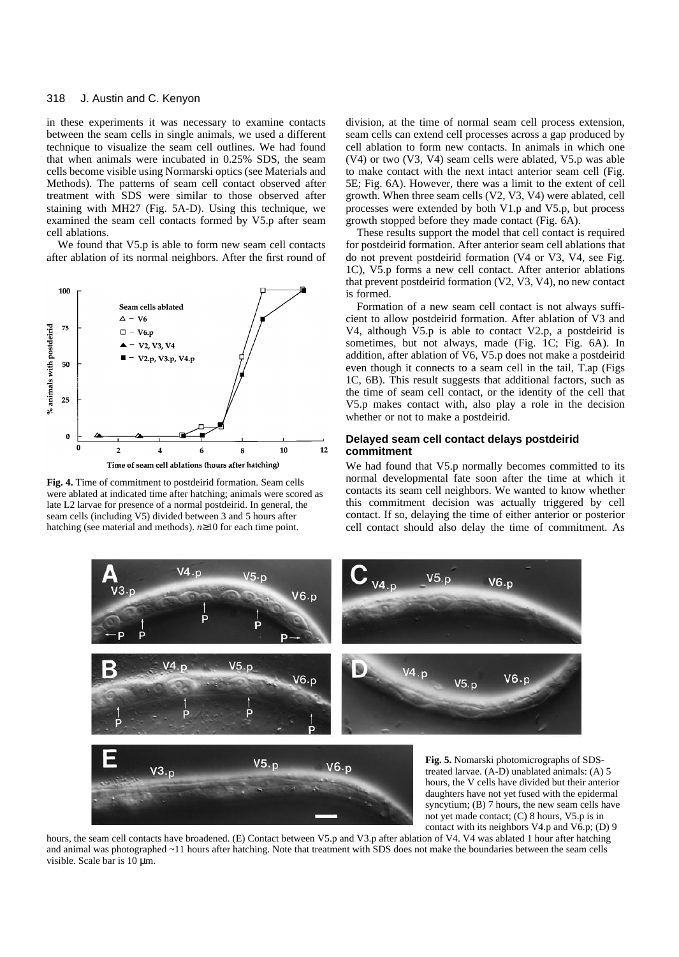#### 318 J. Austin and C. Kenyon

in these experiments it was necessary to examine contacts between the seam cells in single animals, we used a different technique to visualize the seam cell outlines. We had found that when animals were incubated in 0.25% SDS, the seam cells become visible using Normarski optics (see Materials and Methods). The patterns of seam cell contact observed after treatment with SDS were similar to those observed after staining with MH27 (Fig. 5A-D). Using this technique, we examined the seam cell contacts formed by V5.p after seam cell ablations.

We found that V5.p is able to form new seam cell contacts after ablation of its normal neighbors. After the first round of



**Fig. 4.** Time of commitment to postdeirid formation. Seam cells were ablated at indicated time after hatching; animals were scored as late L2 larvae for presence of a normal postdeirid. In general, the seam cells (including V5) divided between 3 and 5 hours after hatching (see material and methods). *n*≥10 for each time point.

division, at the time of normal seam cell process extension, seam cells can extend cell processes across a gap produced by cell ablation to form new contacts. In animals in which one (V4) or two (V3, V4) seam cells were ablated, V5.p was able to make contact with the next intact anterior seam cell (Fig. 5E; Fig. 6A). However, there was a limit to the extent of cell growth. When three seam cells (V2, V3, V4) were ablated, cell processes were extended by both V1.p and V5.p, but process growth stopped before they made contact (Fig. 6A).

These results support the model that cell contact is required for postdeirid formation. After anterior seam cell ablations that do not prevent postdeirid formation (V4 or V3, V4, see Fig. 1C), V5.p forms a new cell contact. After anterior ablations that prevent postdeirid formation (V2, V3, V4), no new contact is formed.

Formation of a new seam cell contact is not always sufficient to allow postdeirid formation. After ablation of V3 and V4, although V5.p is able to contact V2.p, a postdeirid is sometimes, but not always, made (Fig. 1C; Fig. 6A). In addition, after ablation of V6, V5.p does not make a postdeirid even though it connects to a seam cell in the tail, T.ap (Figs 1C, 6B). This result suggests that additional factors, such as the time of seam cell contact, or the identity of the cell that V5.p makes contact with, also play a role in the decision whether or not to make a postdeirid.

### **Delayed seam cell contact delays postdeirid commitment**

We had found that V5.p normally becomes committed to its normal developmental fate soon after the time at which it contacts its seam cell neighbors. We wanted to know whether this commitment decision was actually triggered by cell contact. If so, delaying the time of either anterior or posterior cell contact should also delay the time of commitment. As



contact with its neighbors V4.p and V6.p; (D) 9 hours, the seam cell contacts have broadened. (E) Contact between V5.p and V3.p after ablation of V4. V4 was ablated 1 hour after hatching and animal was photographed ~11 hours after hatching. Note that treatment with SDS does not make the boundaries between the seam cells visible. Scale bar is 10 µm.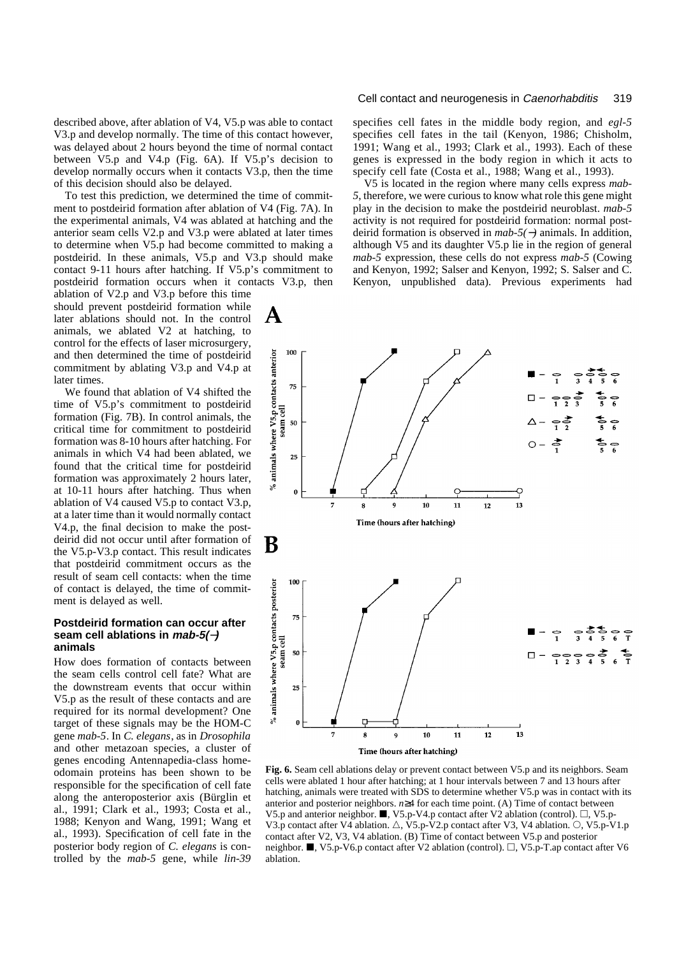described above, after ablation of V4, V5.p was able to contact V3.p and develop normally. The time of this contact however, was delayed about 2 hours beyond the time of normal contact between V5.p and V4.p (Fig. 6A). If V5.p's decision to develop normally occurs when it contacts V3.p, then the time of this decision should also be delayed.

To test this prediction, we determined the time of commitment to postdeirid formation after ablation of V4 (Fig. 7A). In the experimental animals, V4 was ablated at hatching and the anterior seam cells V2.p and V3.p were ablated at later times to determine when V5.p had become committed to making a postdeirid. In these animals, V5.p and V3.p should make contact 9-11 hours after hatching. If V5.p's commitment to postdeirid formation occurs when it contacts V3.p, then

ablation of V2.p and V3.p before this time should prevent postdeirid formation while later ablations should not. In the control animals, we ablated V2 at hatching, to control for the effects of laser microsurgery, and then determined the time of postdeirid commitment by ablating V3.p and V4.p at later times.

We found that ablation of V4 shifted the time of V5.p's commitment to postdeirid formation (Fig. 7B). In control animals, the critical time for commitment to postdeirid formation was 8-10 hours after hatching. For animals in which V4 had been ablated, we found that the critical time for postdeirid formation was approximately 2 hours later, at 10-11 hours after hatching. Thus when ablation of V4 caused V5.p to contact V3.p, at a later time than it would normally contact V4.p, the final decision to make the postdeirid did not occur until after formation of the V5.p-V3.p contact. This result indicates that postdeirid commitment occurs as the result of seam cell contacts: when the time of contact is delayed, the time of commitment is delayed as well.

# **Postdeirid formation can occur after seam cell ablations in mab-5(**−**) animals**

How does formation of contacts between the seam cells control cell fate? What are the downstream events that occur within V5.p as the result of these contacts and are required for its normal development? One target of these signals may be the HOM-C gene *mab-5*. In *C. elegans*, as in *Drosophila* and other metazoan species, a cluster of genes encoding Antennapedia-class homeodomain proteins has been shown to be responsible for the specification of cell fate along the anteroposterior axis (Bürglin et al., 1991; Clark et al., 1993; Costa et al., 1988; Kenyon and Wang, 1991; Wang et al., 1993). Specification of cell fate in the posterior body region of *C. elegans* is controlled by the *mab-5* gene, while *lin-39*

### Cell contact and neurogenesis in Caenorhabditis 319

specifies cell fates in the middle body region, and *egl-5* specifies cell fates in the tail (Kenyon, 1986; Chisholm, 1991; Wang et al., 1993; Clark et al., 1993). Each of these genes is expressed in the body region in which it acts to specify cell fate (Costa et al., 1988; Wang et al., 1993).

V5 is located in the region where many cells express *mab-5*, therefore, we were curious to know what role this gene might play in the decision to make the postdeirid neuroblast. *mab-5* activity is not required for postdeirid formation: normal postdeirid formation is observed in *mab-5(*−*)* animals. In addition, although V5 and its daughter V5.p lie in the region of general *mab-5* expression, these cells do not express *mab-5* (Cowing and Kenyon, 1992; Salser and Kenyon, 1992; S. Salser and C. Kenyon, unpublished data). Previous experiments had



**Fig. 6.** Seam cell ablations delay or prevent contact between V5.p and its neighbors. Seam cells were ablated 1 hour after hatching; at 1 hour intervals between 7 and 13 hours after hatching, animals were treated with SDS to determine whether V5.p was in contact with its anterior and posterior neighbors. *n*≥4 for each time point. (A) Time of contact between V5.p and anterior neighbor.  $\blacksquare$ , V5.p-V4.p contact after V2 ablation (control).  $\Box$ , V5.p-V3.p contact after V4 ablation.  $\triangle$ , V5.p-V2.p contact after V3, V4 ablation.  $\bigcirc$ , V5.p-V1.p contact after V2, V3, V4 ablation. (B) Time of contact between V5.p and posterior neighbor. N, V5.p-V6.p contact after V2 ablation (control).  $\Box$ , V5.p-T.ap contact after V6 ablation.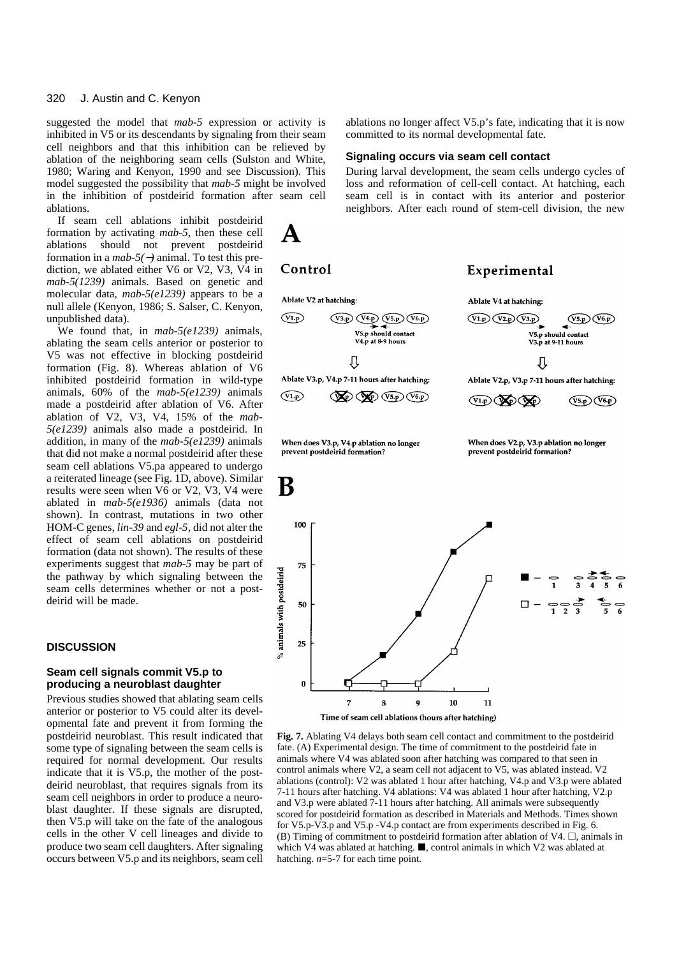suggested the model that *mab-5* expression or activity is inhibited in V5 or its descendants by signaling from their seam cell neighbors and that this inhibition can be relieved by ablation of the neighboring seam cells (Sulston and White, 1980; Waring and Kenyon, 1990 and see Discussion). This model suggested the possibility that *mab-5* might be involved in the inhibition of postdeirid formation after seam cell ablations.

 $\mathbf A$ 

Control

If seam cell ablations inhibit postdeirid formation by activating *mab-5*, then these cell ablations should not prevent postdeirid formation in a *mab-5(*−*)* animal. To test this prediction, we ablated either V6 or V2, V3, V4 in *mab-5(1239)* animals. Based on genetic and molecular data, *mab-5(e1239)* appears to be a null allele (Kenyon, 1986; S. Salser, C. Kenyon, unpublished data).

We found that, in *mab-5(e1239)* animals, ablating the seam cells anterior or posterior to V5 was not effective in blocking postdeirid formation (Fig. 8). Whereas ablation of V6 inhibited postdeirid formation in wild-type animals, 60% of the *mab-5(e1239)* animals made a postdeirid after ablation of V6. After ablation of V2, V3, V4, 15% of the *mab-5(e1239)* animals also made a postdeirid. In addition, in many of the *mab-5(e1239)* animals that did not make a normal postdeirid after these seam cell ablations V5.pa appeared to undergo a reiterated lineage (see Fig. 1D, above). Similar results were seen when V6 or V2, V3, V4 were ablated in *mab-5(e1936)* animals (data not shown). In contrast, mutations in two other HOM-C genes, *lin-39* and *egl-5*, did not alter the effect of seam cell ablations on postdeirid formation (data not shown). The results of these experiments suggest that *mab-5* may be part of the pathway by which signaling between the seam cells determines whether or not a postdeirid will be made.

# **DISCUSSION**

# **Seam cell signals commit V5.p to producing a neuroblast daughter**

Previous studies showed that ablating seam cells anterior or posterior to V5 could alter its developmental fate and prevent it from forming the postdeirid neuroblast. This result indicated that some type of signaling between the seam cells is required for normal development. Our results indicate that it is V5.p, the mother of the postdeirid neuroblast, that requires signals from its seam cell neighbors in order to produce a neuroblast daughter. If these signals are disrupted, then V5.p will take on the fate of the analogous cells in the other V cell lineages and divide to produce two seam cell daughters. After signaling occurs between V5.p and its neighbors, seam cell ablations no longer affect V5.p's fate, indicating that it is now committed to its normal developmental fate.

### **Signaling occurs via seam cell contact**

During larval development, the seam cells undergo cycles of loss and reformation of cell-cell contact. At hatching, each seam cell is in contact with its anterior and posterior neighbors. After each round of stem-cell division, the new

# Experimental



**Fig. 7.** Ablating V4 delays both seam cell contact and commitment to the postdeirid fate. (A) Experimental design. The time of commitment to the postdeirid fate in animals where V4 was ablated soon after hatching was compared to that seen in control animals where V2, a seam cell not adjacent to V5, was ablated instead. V2 ablations (control): V2 was ablated 1 hour after hatching, V4.p and V3.p were ablated 7-11 hours after hatching. V4 ablations: V4 was ablated 1 hour after hatching, V2.p and V3.p were ablated 7-11 hours after hatching. All animals were subsequently scored for postdeirid formation as described in Materials and Methods. Times shown for V5.p-V3.p and V5.p -V4.p contact are from experiments described in Fig. 6. (B) Timing of commitment to postdeirid formation after ablation of V4.  $\Box$ , animals in which V4 was ablated at hatching.  $\blacksquare$ , control animals in which V2 was ablated at hatching. *n*=5-7 for each time point.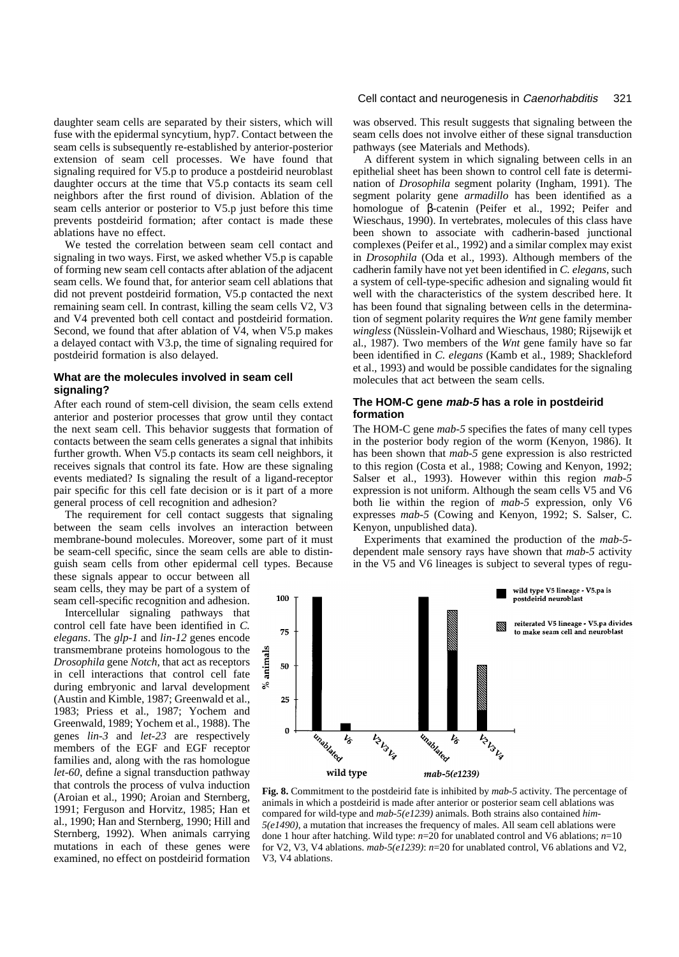daughter seam cells are separated by their sisters, which will fuse with the epidermal syncytium, hyp7. Contact between the seam cells is subsequently re-established by anterior-posterior extension of seam cell processes. We have found that signaling required for V5.p to produce a postdeirid neuroblast daughter occurs at the time that V5.p contacts its seam cell neighbors after the first round of division. Ablation of the seam cells anterior or posterior to V5.p just before this time prevents postdeirid formation; after contact is made these ablations have no effect.

We tested the correlation between seam cell contact and signaling in two ways. First, we asked whether V5.p is capable of forming new seam cell contacts after ablation of the adjacent seam cells. We found that, for anterior seam cell ablations that did not prevent postdeirid formation, V5.p contacted the next remaining seam cell. In contrast, killing the seam cells V2, V3 and V4 prevented both cell contact and postdeirid formation. Second, we found that after ablation of V4, when V5.p makes a delayed contact with V3.p, the time of signaling required for postdeirid formation is also delayed.

# **What are the molecules involved in seam cell signaling?**

After each round of stem-cell division, the seam cells extend anterior and posterior processes that grow until they contact the next seam cell. This behavior suggests that formation of contacts between the seam cells generates a signal that inhibits further growth. When V5.p contacts its seam cell neighbors, it receives signals that control its fate. How are these signaling events mediated? Is signaling the result of a ligand-receptor pair specific for this cell fate decision or is it part of a more general process of cell recognition and adhesion?

The requirement for cell contact suggests that signaling between the seam cells involves an interaction between membrane-bound molecules. Moreover, some part of it must be seam-cell specific, since the seam cells are able to distinguish seam cells from other epidermal cell types. Because

these signals appear to occur between all seam cells, they may be part of a system of seam cell-specific recognition and adhesion.

Intercellular signaling pathways that control cell fate have been identified in *C. elegans*. The *glp-1* and *lin-12* genes encode transmembrane proteins homologous to the *Drosophila* gene *Notch*, that act as receptors in cell interactions that control cell fate during embryonic and larval development (Austin and Kimble, 1987; Greenwald et al., 1983; Priess et al., 1987; Yochem and Greenwald, 1989; Yochem et al., 1988). The genes *lin-3* and *let-23* are respectively members of the EGF and EGF receptor families and, along with the ras homologue *let-60*, define a signal transduction pathway that controls the process of vulva induction (Aroian et al., 1990; Aroian and Sternberg, 1991; Ferguson and Horvitz, 1985; Han et al., 1990; Han and Sternberg, 1990; Hill and Sternberg, 1992). When animals carrying mutations in each of these genes were examined, no effect on postdeirid formation

### Cell contact and neurogenesis in Caenorhabditis 321

was observed. This result suggests that signaling between the seam cells does not involve either of these signal transduction pathways (see Materials and Methods).

A different system in which signaling between cells in an epithelial sheet has been shown to control cell fate is determination of *Drosophila* segment polarity (Ingham, 1991). The segment polarity gene *armadillo* has been identified as a homologue of β-catenin (Peifer et al., 1992; Peifer and Wieschaus, 1990). In vertebrates, molecules of this class have been shown to associate with cadherin-based junctional complexes (Peifer et al., 1992) and a similar complex may exist in *Drosophila* (Oda et al., 1993). Although members of the cadherin family have not yet been identified in *C. elegans*, such a system of cell-type-specific adhesion and signaling would fit well with the characteristics of the system described here. It has been found that signaling between cells in the determination of segment polarity requires the *Wnt* gene family member *wingless* (Nüsslein-Volhard and Wieschaus, 1980; Rijsewijk et al., 1987). Two members of the *Wnt* gene family have so far been identified in *C. elegans* (Kamb et al., 1989; Shackleford et al., 1993) and would be possible candidates for the signaling molecules that act between the seam cells.

# **The HOM-C gene mab-5 has a role in postdeirid formation**

The HOM-C gene *mab-5* specifies the fates of many cell types in the posterior body region of the worm (Kenyon, 1986). It has been shown that *mab-5* gene expression is also restricted to this region (Costa et al., 1988; Cowing and Kenyon, 1992; Salser et al., 1993). However within this region *mab-5* expression is not uniform. Although the seam cells V5 and V6 both lie within the region of *mab-5* expression, only V6 expresses *mab-5* (Cowing and Kenyon, 1992; S. Salser, C. Kenyon, unpublished data).

Experiments that examined the production of the *mab-5* dependent male sensory rays have shown that *mab-5* activity in the V5 and V6 lineages is subject to several types of regu-



**Fig. 8.** Commitment to the postdeirid fate is inhibited by *mab-5* activity*.* The percentage of animals in which a postdeirid is made after anterior or posterior seam cell ablations was compared for wild-type and *mab-5(e1239)* animals. Both strains also contained *him-5(e1490)*, a mutation that increases the frequency of males. All seam cell ablations were done 1 hour after hatching. Wild type: *n*=20 for unablated control and V6 ablations; *n*=10 for V2, V3, V4 ablations. *mab-5(e1239)*: *n*=20 for unablated control, V6 ablations and V2, V3, V4 ablations.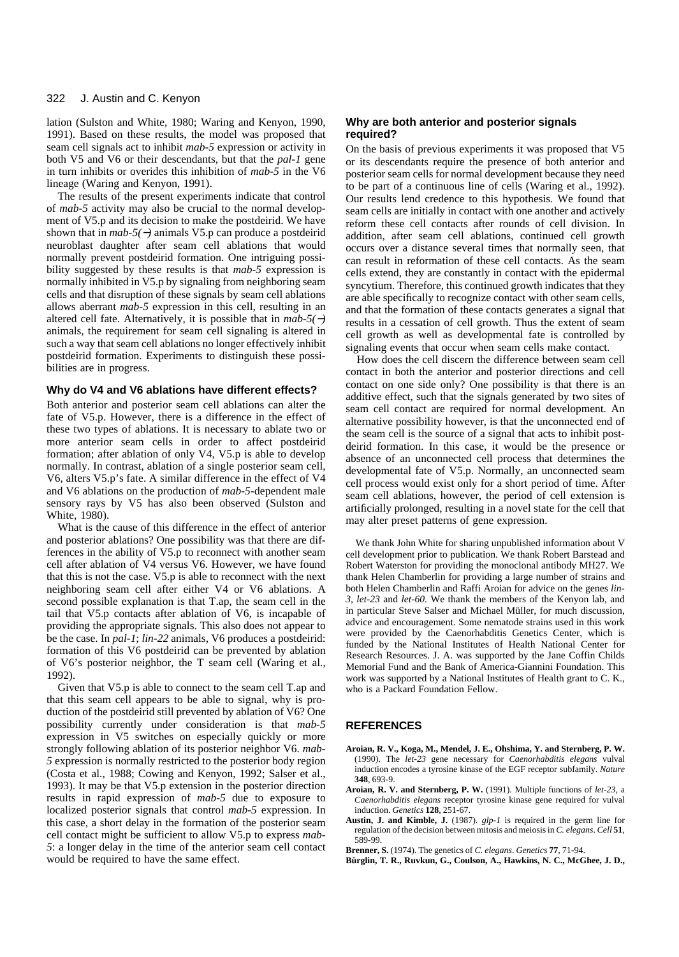lation (Sulston and White, 1980; Waring and Kenyon, 1990, 1991). Based on these results, the model was proposed that seam cell signals act to inhibit *mab-5* expression or activity in both V5 and V6 or their descendants, but that the *pal-1* gene in turn inhibits or overides this inhibition of *mab-5* in the V6 lineage (Waring and Kenyon, 1991).

The results of the present experiments indicate that control of *mab-5* activity may also be crucial to the normal development of V5.p and its decision to make the postdeirid. We have shown that in *mab-5(* <sup>−</sup>*)* animals V5.p can produce a postdeirid neuroblast daughter after seam cell ablations that would normally prevent postdeirid formation. One intriguing possibility suggested by these results is that *mab-5* expression is normally inhibited in V5.p by signaling from neighboring seam cells and that disruption of these signals by seam cell ablations allows aberrant *mab-5* expression in this cell, resulting in an altered cell fate. Alternatively, it is possible that in *mab-5(* −*)* animals, the requirement for seam cell signaling is altered in such a way that seam cell ablations no longer effectively inhibit postdeirid formation. Experiments to distinguish these possibilities are in progress.

### **Why do V4 and V6 ablations have different effects?**

Both anterior and posterior seam cell ablations can alter the fate of V5.p. However, there is a difference in the effect of these two types of ablations. It is necessary to ablate two or more anterior seam cells in order to affect postdeirid formation; after ablation of only V4, V5.p is able to develop normally. In contrast, ablation of a single posterior seam cell, V6, alters V5.p's fate. A similar difference in the effect of V4 and V6 ablations on the production of *mab-5*-dependent male sensory rays by V5 has also been observed (Sulston and White, 1980).

What is the cause of this difference in the effect of anterior and posterior ablations? One possibility was that there are differences in the ability of V5.p to reconnect with another seam cell after ablation of V4 versus V6. However, we have found that this is not the case. V5.p is able to reconnect with the next neighboring seam cell after either V4 or V6 ablations. A second possible explanation is that T.ap, the seam cell in the tail that V5.p contacts after ablation of V6, is incapable of providing the appropriate signals. This also does not appear to be the case. In *pal-1*; *lin-22* animals, V6 produces a postdeirid: formation of this V6 postdeirid can be prevented by ablation of V6's posterior neighbor, the T seam cell (Waring et al., 1992).

Given that V5.p is able to connect to the seam cell T.ap and that this seam cell appears to be able to signal, why is production of the postdeirid still prevented by ablation of V6? One possibility currently under consideration is that *mab-5* expression in V5 switches on especially quickly or more strongly following ablation of its posterior neighbor V6. *mab-5* expression is normally restricted to the posterior body region (Costa et al., 1988; Cowing and Kenyon, 1992; Salser et al., 1993). It may be that V5.p extension in the posterior direction results in rapid expression of *mab-5* due to exposure to localized posterior signals that control *mab-5* expression. In this case, a short delay in the formation of the posterior seam cell contact might be sufficient to allow V5.p to express *mab-5*: a longer delay in the time of the anterior seam cell contact would be required to have the same effect.

### **Why are both anterior and posterior signals required?**

On the basis of previous experiments it was proposed that V5 or its descendants require the presence of both anterior and posterior seam cells for normal development because they need to be part of a continuous line of cells (Waring et al., 1992). Our results lend credence to this hypothesis. We found that seam cells are initially in contact with one another and actively reform these cell contacts after rounds of cell division. In addition, after seam cell ablations, continued cell growth occurs over a distance several times that normally seen, that can result in reformation of these cell contacts. As the seam cells extend, they are constantly in contact with the epidermal syncytium. Therefore, this continued growth indicates that they are able specifically to recognize contact with other seam cells, and that the formation of these contacts generates a signal that results in a cessation of cell growth. Thus the extent of seam cell growth as well as developmental fate is controlled by signaling events that occur when seam cells make contact.

How does the cell discern the difference between seam cell contact in both the anterior and posterior directions and cell contact on one side only? One possibility is that there is an additive effect, such that the signals generated by two sites of seam cell contact are required for normal development. An alternative possibility however, is that the unconnected end of the seam cell is the source of a signal that acts to inhibit postdeirid formation. In this case, it would be the presence or absence of an unconnected cell process that determines the developmental fate of V5.p. Normally, an unconnected seam cell process would exist only for a short period of time. After seam cell ablations, however, the period of cell extension is artificially prolonged, resulting in a novel state for the cell that may alter preset patterns of gene expression.

We thank John White for sharing unpublished information about V cell development prior to publication. We thank Robert Barstead and Robert Waterston for providing the monoclonal antibody MH27. We thank Helen Chamberlin for providing a large number of strains and both Helen Chamberlin and Raffi Aroian for advice on the genes *lin-3*, *let-23* and *let-60*. We thank the members of the Kenyon lab, and in particular Steve Salser and Michael Müller, for much discussion, advice and encouragement. Some nematode strains used in this work were provided by the Caenorhabditis Genetics Center, which is funded by the National Institutes of Health National Center for Research Resources. J. A. was supported by the Jane Coffin Childs Memorial Fund and the Bank of America-Giannini Foundation. This work was supported by a National Institutes of Health grant to C. K., who is a Packard Foundation Fellow.

### **REFERENCES**

- **Aroian, R. V., Koga, M., Mendel, J. E., Ohshima, Y. and Sternberg, P. W.** (1990). The *let-23* gene necessary for *Caenorhabditis elegans* vulval induction encodes a tyrosine kinase of the EGF receptor subfamily. *Nature* **348**, 693-9.
- **Aroian, R. V. and Sternberg, P. W.** (1991). Multiple functions of *let-23*, <sup>a</sup> *Caenorhabditis elegans* receptor tyrosine kinase gene required for vulval induction. *Genetics* **128**, 251-67.
- **Austin, J. and Kimble, J.** (1987). *glp-1* is required in the germ line for regulation of the decision between mitosis and meiosis in *C. elegans*. *Cell* **51**, 589-99.
- **Brenner, S.** (1974). The genetics of *C. elegans*. *Genetics* **77**, 71-94.
- **Bürglin, T. R., Ruvkun, G., Coulson, A., Hawkins, N. C., McGhee, J. D.,**